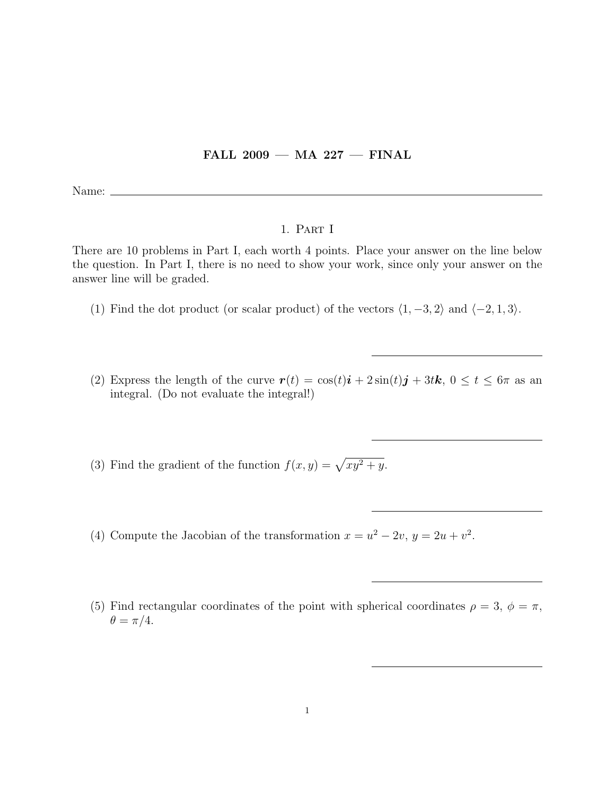## FALL 2009 — MA 227 — FINAL

Name:

## 1. Part I

There are 10 problems in Part I, each worth 4 points. Place your answer on the line below the question. In Part I, there is no need to show your work, since only your answer on the answer line will be graded.

- (1) Find the dot product (or scalar product) of the vectors  $\langle 1, -3, 2 \rangle$  and  $\langle -2, 1, 3 \rangle$ .
- (2) Express the length of the curve  $\mathbf{r}(t) = \cos(t)\mathbf{i} + 2\sin(t)\mathbf{j} + 3t\mathbf{k}, 0 \le t \le 6\pi$  as an integral. (Do not evaluate the integral!)

(3) Find the gradient of the function  $f(x, y) = \sqrt{xy^2 + y}$ .

- (4) Compute the Jacobian of the transformation  $x = u^2 2v$ ,  $y = 2u + v^2$ .
- (5) Find rectangular coordinates of the point with spherical coordinates  $\rho = 3, \phi = \pi$ ,  $\theta = \pi/4.$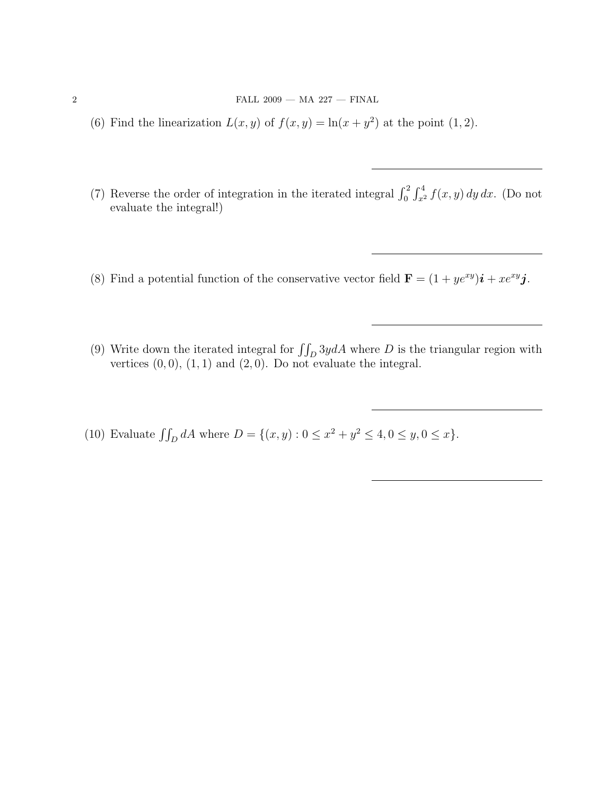- (6) Find the linearization  $L(x, y)$  of  $f(x, y) = \ln(x + y^2)$  at the point (1, 2).
- (7) Reverse the order of integration in the iterated integral  $\int_0^2 \int_{x^2}^4 f(x, y) dy dx$ . (Do not evaluate the integral!)
- (8) Find a potential function of the conservative vector field  $\mathbf{F} = (1 + ye^{xy})\mathbf{i} + xe^{xy}\mathbf{j}$ .
- (9) Write down the iterated integral for  $\iint_D 3y dA$  where D is the triangular region with vertices  $(0, 0)$ ,  $(1, 1)$  and  $(2, 0)$ . Do not evaluate the integral.
- (10) Evaluate  $\iint_D dA$  where  $D = \{(x, y) : 0 \le x^2 + y^2 \le 4, 0 \le y, 0 \le x\}.$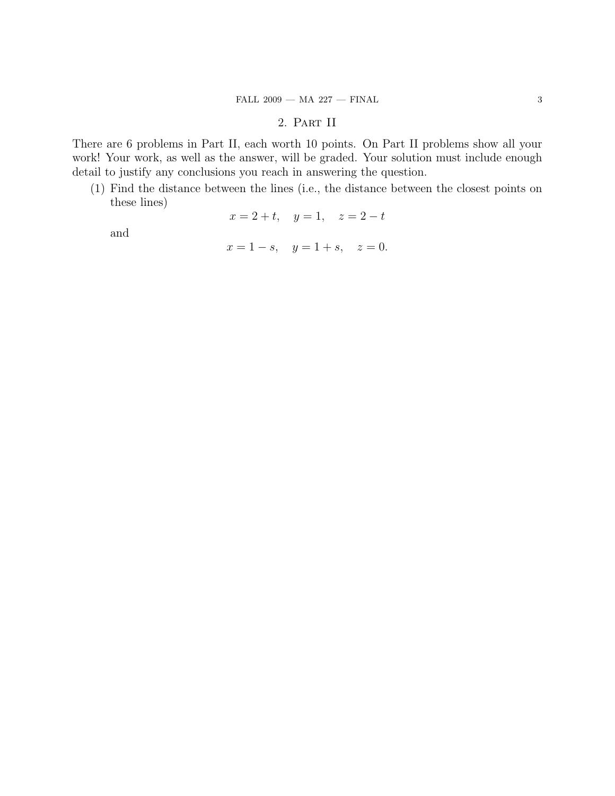## 2. Part II

There are 6 problems in Part II, each worth 10 points. On Part II problems show all your work! Your work, as well as the answer, will be graded. Your solution must include enough detail to justify any conclusions you reach in answering the question.

(1) Find the distance between the lines (i.e., the distance between the closest points on these lines)

$$
x = 2 + t
$$
,  $y = 1$ ,  $z = 2 - t$ 

and

$$
x = 1 - s
$$
,  $y = 1 + s$ ,  $z = 0$ .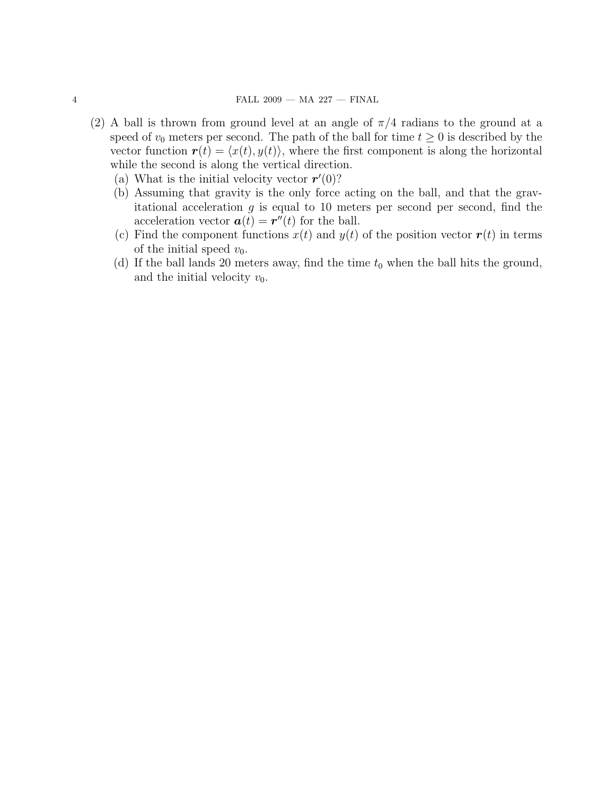- (2) A ball is thrown from ground level at an angle of  $\pi/4$  radians to the ground at a speed of  $v_0$  meters per second. The path of the ball for time  $t \geq 0$  is described by the vector function  $\mathbf{r}(t) = \langle x(t), y(t) \rangle$ , where the first component is along the horizontal while the second is along the vertical direction.
	- (a) What is the initial velocity vector  $\mathbf{r}'(0)$ ?
	- (b) Assuming that gravity is the only force acting on the ball, and that the gravitational acceleration  $g$  is equal to 10 meters per second per second, find the acceleration vector  $a(t) = r''(t)$  for the ball.
	- (c) Find the component functions  $x(t)$  and  $y(t)$  of the position vector  $r(t)$  in terms of the initial speed  $v_0$ .
	- (d) If the ball lands 20 meters away, find the time  $t_0$  when the ball hits the ground, and the initial velocity  $v_0$ .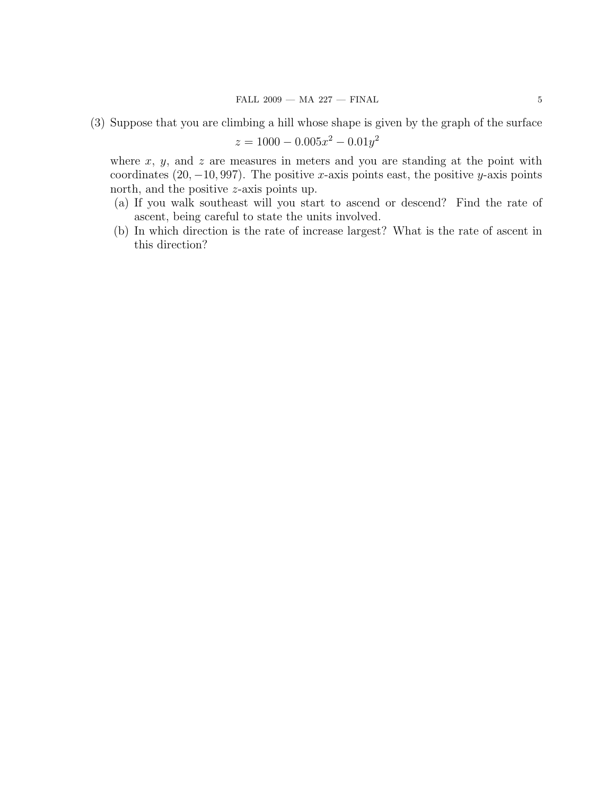$$
z = 1000 - 0.005x^2 - 0.01y^2
$$

where  $x, y$ , and  $z$  are measures in meters and you are standing at the point with coordinates  $(20, -10, 997)$ . The positive x-axis points east, the positive y-axis points north, and the positive z-axis points up.

- (a) If you walk southeast will you start to ascend or descend? Find the rate of ascent, being careful to state the units involved.
- (b) In which direction is the rate of increase largest? What is the rate of ascent in this direction?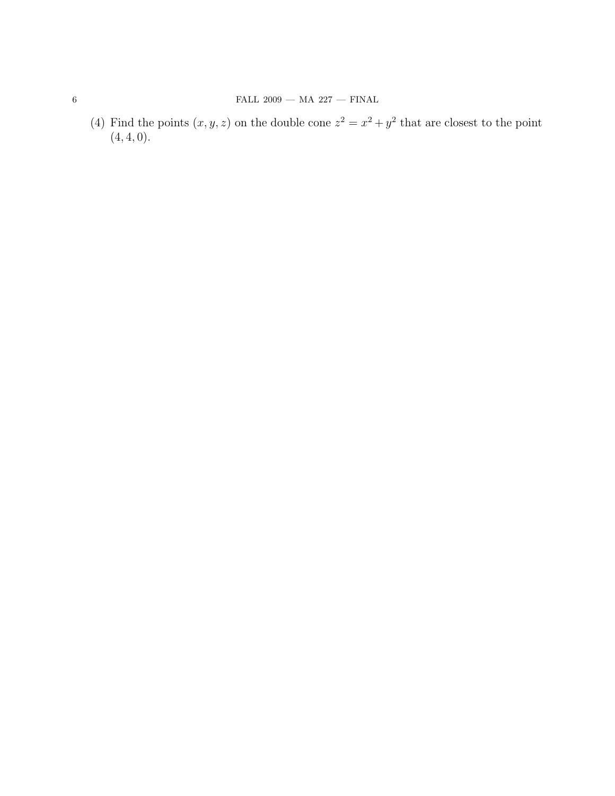(4) Find the points  $(x, y, z)$  on the double cone  $z^2 = x^2 + y^2$  that are closest to the point  $(4, 4, 0).$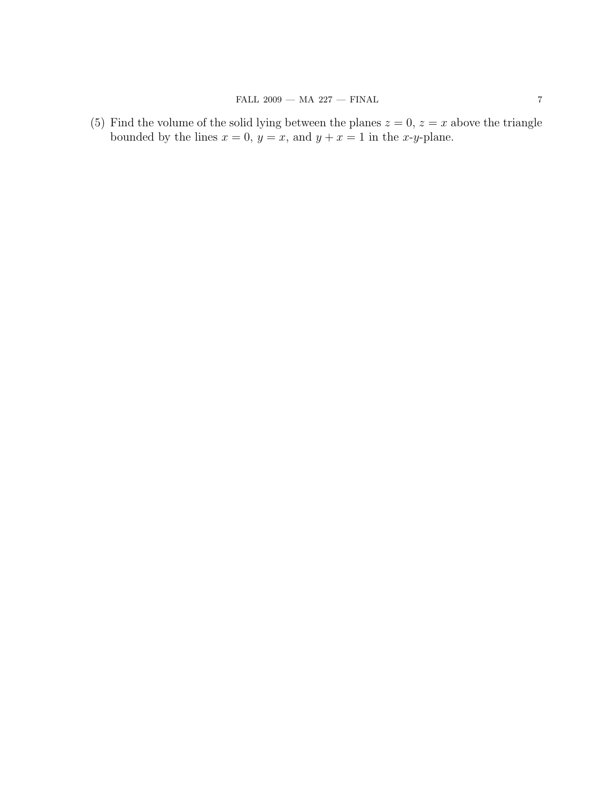(5) Find the volume of the solid lying between the planes  $z = 0$ ,  $z = x$  above the triangle bounded by the lines  $x = 0$ ,  $y = x$ , and  $y + x = 1$  in the x-y-plane.